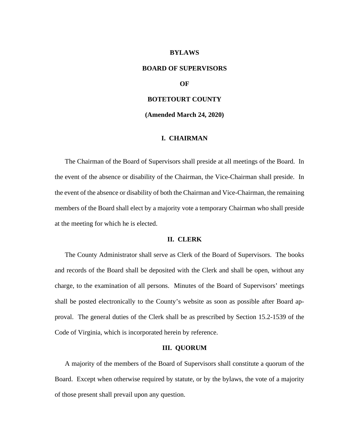#### **BYLAWS**

# **BOARD OF SUPERVISORS**

## **OF**

# **BOTETOURT COUNTY**

**(Amended March 24, 2020)**

#### **I. CHAIRMAN**

The Chairman of the Board of Supervisors shall preside at all meetings of the Board. In the event of the absence or disability of the Chairman, the Vice-Chairman shall preside. In the event of the absence or disability of both the Chairman and Vice-Chairman, the remaining members of the Board shall elect by a majority vote a temporary Chairman who shall preside at the meeting for which he is elected.

## **II. CLERK**

The County Administrator shall serve as Clerk of the Board of Supervisors. The books and records of the Board shall be deposited with the Clerk and shall be open, without any charge, to the examination of all persons. Minutes of the Board of Supervisors' meetings shall be posted electronically to the County's website as soon as possible after Board approval. The general duties of the Clerk shall be as prescribed by Section 15.2-1539 of the Code of Virginia, which is incorporated herein by reference.

#### **III. QUORUM**

A majority of the members of the Board of Supervisors shall constitute a quorum of the Board. Except when otherwise required by statute, or by the bylaws, the vote of a majority of those present shall prevail upon any question.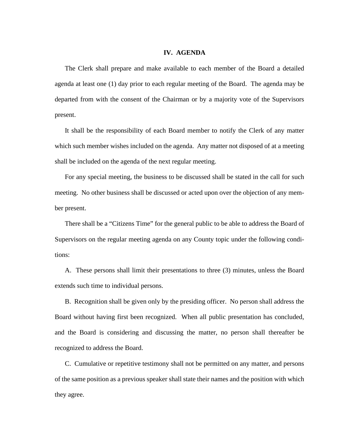## **IV. AGENDA**

The Clerk shall prepare and make available to each member of the Board a detailed agenda at least one (1) day prior to each regular meeting of the Board. The agenda may be departed from with the consent of the Chairman or by a majority vote of the Supervisors present.

It shall be the responsibility of each Board member to notify the Clerk of any matter which such member wishes included on the agenda. Any matter not disposed of at a meeting shall be included on the agenda of the next regular meeting.

For any special meeting, the business to be discussed shall be stated in the call for such meeting. No other business shall be discussed or acted upon over the objection of any member present.

There shall be a "Citizens Time" for the general public to be able to address the Board of Supervisors on the regular meeting agenda on any County topic under the following conditions:

A. These persons shall limit their presentations to three (3) minutes, unless the Board extends such time to individual persons.

B. Recognition shall be given only by the presiding officer. No person shall address the Board without having first been recognized. When all public presentation has concluded, and the Board is considering and discussing the matter, no person shall thereafter be recognized to address the Board.

C. Cumulative or repetitive testimony shall not be permitted on any matter, and persons of the same position as a previous speaker shall state their names and the position with which they agree.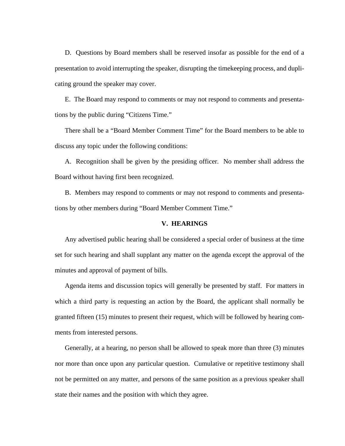D. Questions by Board members shall be reserved insofar as possible for the end of a presentation to avoid interrupting the speaker, disrupting the timekeeping process, and duplicating ground the speaker may cover.

E. The Board may respond to comments or may not respond to comments and presentations by the public during "Citizens Time."

There shall be a "Board Member Comment Time" for the Board members to be able to discuss any topic under the following conditions:

A. Recognition shall be given by the presiding officer. No member shall address the Board without having first been recognized.

B. Members may respond to comments or may not respond to comments and presentations by other members during "Board Member Comment Time."

## **V. HEARINGS**

Any advertised public hearing shall be considered a special order of business at the time set for such hearing and shall supplant any matter on the agenda except the approval of the minutes and approval of payment of bills.

Agenda items and discussion topics will generally be presented by staff. For matters in which a third party is requesting an action by the Board, the applicant shall normally be granted fifteen (15) minutes to present their request, which will be followed by hearing comments from interested persons.

Generally, at a hearing, no person shall be allowed to speak more than three (3) minutes nor more than once upon any particular question. Cumulative or repetitive testimony shall not be permitted on any matter, and persons of the same position as a previous speaker shall state their names and the position with which they agree.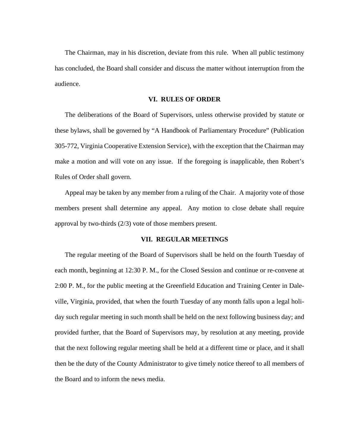The Chairman, may in his discretion, deviate from this rule. When all public testimony has concluded, the Board shall consider and discuss the matter without interruption from the audience.

## **VI. RULES OF ORDER**

The deliberations of the Board of Supervisors, unless otherwise provided by statute or these bylaws, shall be governed by "A Handbook of Parliamentary Procedure" (Publication 305-772, Virginia Cooperative Extension Service), with the exception that the Chairman may make a motion and will vote on any issue. If the foregoing is inapplicable, then Robert's Rules of Order shall govern.

Appeal may be taken by any member from a ruling of the Chair. A majority vote of those members present shall determine any appeal. Any motion to close debate shall require approval by two-thirds (2/3) vote of those members present.

#### **VII. REGULAR MEETINGS**

The regular meeting of the Board of Supervisors shall be held on the fourth Tuesday of each month, beginning at 12:30 P. M., for the Closed Session and continue or re-convene at 2:00 P. M., for the public meeting at the Greenfield Education and Training Center in Daleville, Virginia, provided, that when the fourth Tuesday of any month falls upon a legal holiday such regular meeting in such month shall be held on the next following business day; and provided further, that the Board of Supervisors may, by resolution at any meeting, provide that the next following regular meeting shall be held at a different time or place, and it shall then be the duty of the County Administrator to give timely notice thereof to all members of the Board and to inform the news media.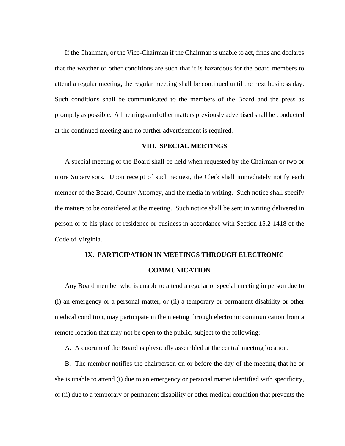If the Chairman, or the Vice-Chairman if the Chairman is unable to act, finds and declares that the weather or other conditions are such that it is hazardous for the board members to attend a regular meeting, the regular meeting shall be continued until the next business day. Such conditions shall be communicated to the members of the Board and the press as promptly as possible. All hearings and other matters previously advertised shall be conducted at the continued meeting and no further advertisement is required.

#### **VIII. SPECIAL MEETINGS**

A special meeting of the Board shall be held when requested by the Chairman or two or more Supervisors. Upon receipt of such request, the Clerk shall immediately notify each member of the Board, County Attorney, and the media in writing. Such notice shall specify the matters to be considered at the meeting. Such notice shall be sent in writing delivered in person or to his place of residence or business in accordance with Section 15.2-1418 of the Code of Virginia.

# **IX. PARTICIPATION IN MEETINGS THROUGH ELECTRONIC**

#### **COMMUNICATION**

Any Board member who is unable to attend a regular or special meeting in person due to (i) an emergency or a personal matter, or (ii) a temporary or permanent disability or other medical condition, may participate in the meeting through electronic communication from a remote location that may not be open to the public, subject to the following:

A. A quorum of the Board is physically assembled at the central meeting location.

B. The member notifies the chairperson on or before the day of the meeting that he or she is unable to attend (i) due to an emergency or personal matter identified with specificity, or (ii) due to a temporary or permanent disability or other medical condition that prevents the